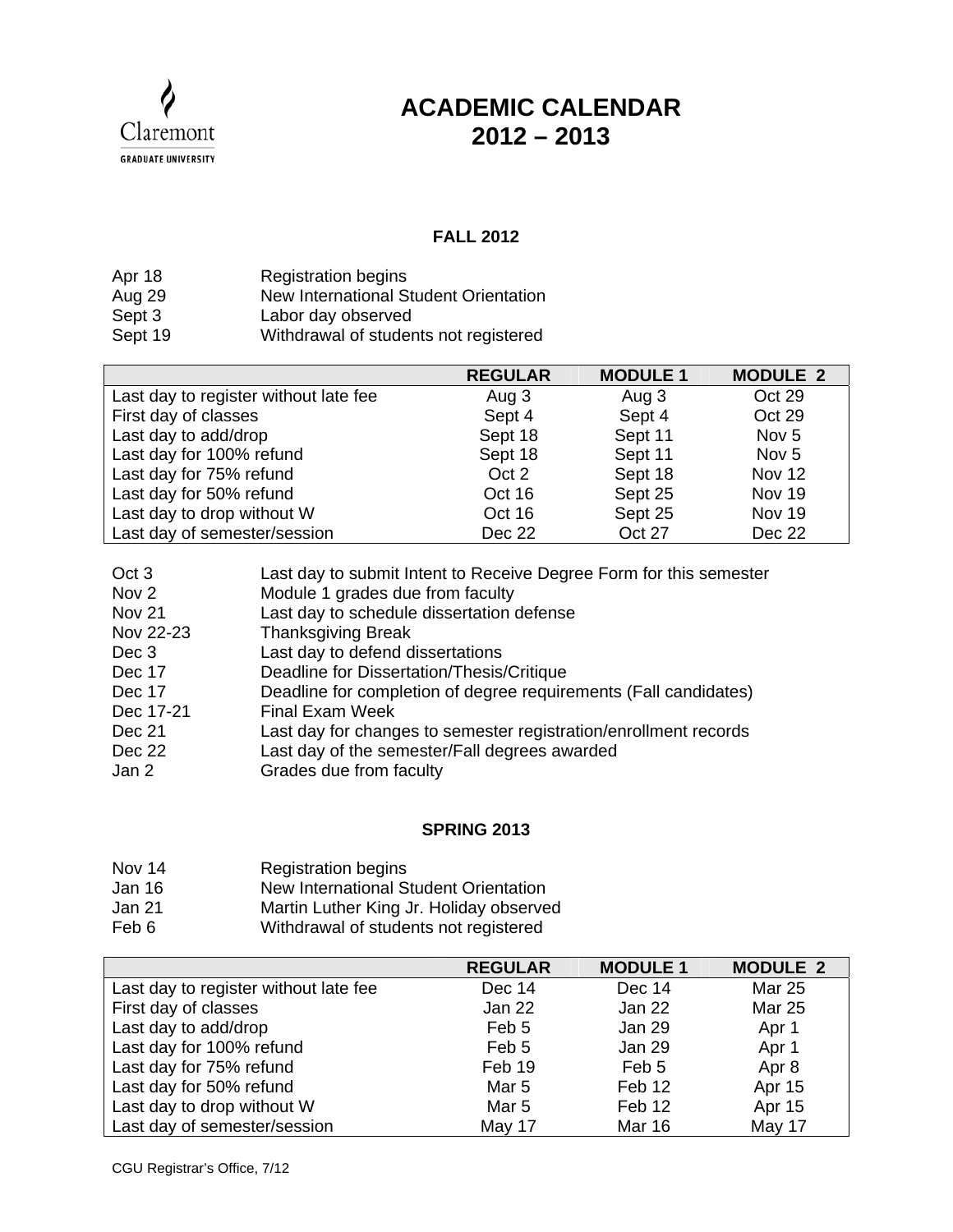

## **ACADEMIC CALENDAR 2012 – 2013**

## **FALL 2012**

| Apr 18  | <b>Registration begins</b>            |
|---------|---------------------------------------|
| Aug 29  | New International Student Orientation |
| Sept 3  | Labor day observed                    |
| Sept 19 | Withdrawal of students not registered |

|                                       | <b>REGULAR</b> | <b>MODULE 1</b> | <b>MODULE 2</b>  |
|---------------------------------------|----------------|-----------------|------------------|
| Last day to register without late fee | Aug 3          | Aug 3           | Oct 29           |
| First day of classes                  | Sept 4         | Sept 4          | Oct 29           |
| Last day to add/drop                  | Sept 18        | Sept 11         | Nov <sub>5</sub> |
| Last day for 100% refund              | Sept 18        | Sept 11         | Nov <sub>5</sub> |
| Last day for 75% refund               | Oct 2          | Sept 18         | <b>Nov 12</b>    |
| Last day for 50% refund               | Oct 16         | Sept 25         | Nov 19           |
| Last day to drop without W            | Oct 16         | Sept 25         | <b>Nov 19</b>    |
| Last day of semester/session          | Dec 22         | Oct 27          | Dec 22           |

| Oct <sub>3</sub> | Last day to submit Intent to Receive Degree Form for this semester |
|------------------|--------------------------------------------------------------------|
| Nov <sub>2</sub> | Module 1 grades due from faculty                                   |
| Nov 21           | Last day to schedule dissertation defense                          |
| Nov 22-23        | <b>Thanksgiving Break</b>                                          |
| Dec 3            | Last day to defend dissertations                                   |
| Dec 17           | Deadline for Dissertation/Thesis/Critique                          |
| Dec 17           | Deadline for completion of degree requirements (Fall candidates)   |
| Dec 17-21        | <b>Final Exam Week</b>                                             |
| Dec 21           | Last day for changes to semester registration/enrollment records   |
| Dec 22           | Last day of the semester/Fall degrees awarded                      |
| Jan 2            | Grades due from faculty                                            |

## **SPRING 2013**

- Nov 14 Registration begins
- Jan 16 New International Student Orientation
- Jan 21 Martin Luther King Jr. Holiday observed
- Feb 6 Withdrawal of students not registered

|                                       | <b>REGULAR</b>   | <b>MODULE 1</b> | <b>MODULE 2</b> |
|---------------------------------------|------------------|-----------------|-----------------|
| Last day to register without late fee | Dec 14           | Dec 14          | Mar 25          |
| First day of classes                  | Jan 22           | Jan 22          | <b>Mar 25</b>   |
| Last day to add/drop                  | Feb 5            | Jan 29          | Apr 1           |
| Last day for 100% refund              | Feb 5            | Jan 29          | Apr 1           |
| Last day for 75% refund               | Feb 19           | Feb 5           | Apr 8           |
| Last day for 50% refund               | Mar <sub>5</sub> | Feb 12          | Apr 15          |
| Last day to drop without W            | Mar <sub>5</sub> | Feb 12          | Apr 15          |
| Last day of semester/session          | May 17           | <b>Mar 16</b>   | May 17          |